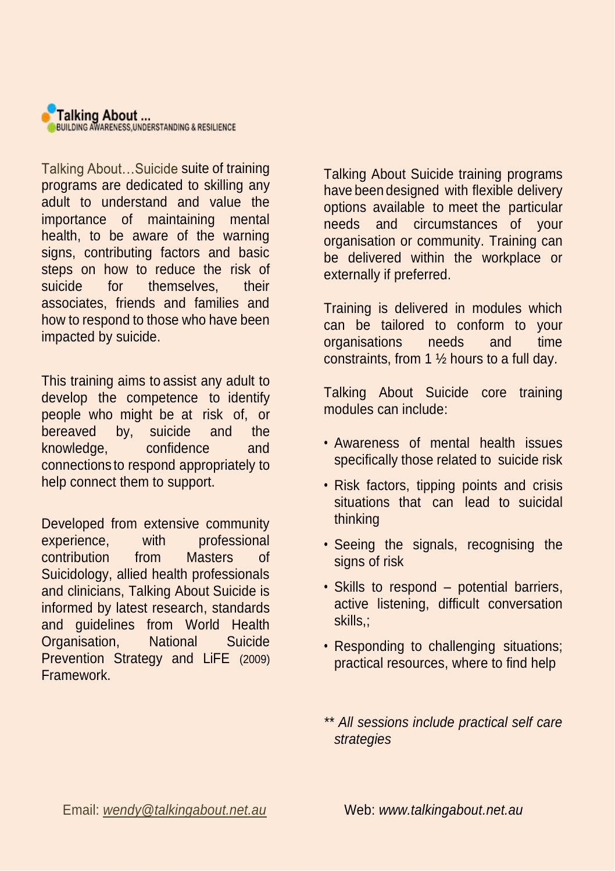

Talking About...Suicide suite of training programs are dedicated to skilling any adult to understand and value the importance of maintaining mental health, to be aware of the warning signs, contributing factors and basic steps on how to reduce the risk of suicide for themselves their associates, friends and families and how to respond to those who have been impacted by suicide.

This training aims to assist any adult to develop the competence to identify people who might be at risk of, or bereaved by, suicide and the knowledge, confidence and connections to respond appropriately to help connect them to support.

Developed from extensive community experience, with professional contribution from Masters of Suicidology, allied health professionals and clinicians, Talking About Suicide is informed by latest research, standards and guidelines from World Health Organisation, National Suicide Prevention Strategy and LiFE (2009) Framework.

Talking About Suicide training programs have been designed with flexible delivery options available to meet the particular needs and circumstances of your organisation or community. Training can be delivered within the workplace or externally if preferred.

Training is delivered in modules which can be tailored to conform to your organisations needs and time constraints, from 1 ½ hours to a full day.

Talking About Suicide core training modules can include:

- Awareness of mental health issues specifically those related to suicide risk
- Risk factors, tipping points and crisis situations that can lead to suicidal thinking
- Seeing the signals, recognising the signs of risk
- Skills to respond potential barriers, active listening, difficult conversation skills,;
- Responding to challenging situations; practical resources, where to find help
- *\*\* All sessions include practical self care strategies*